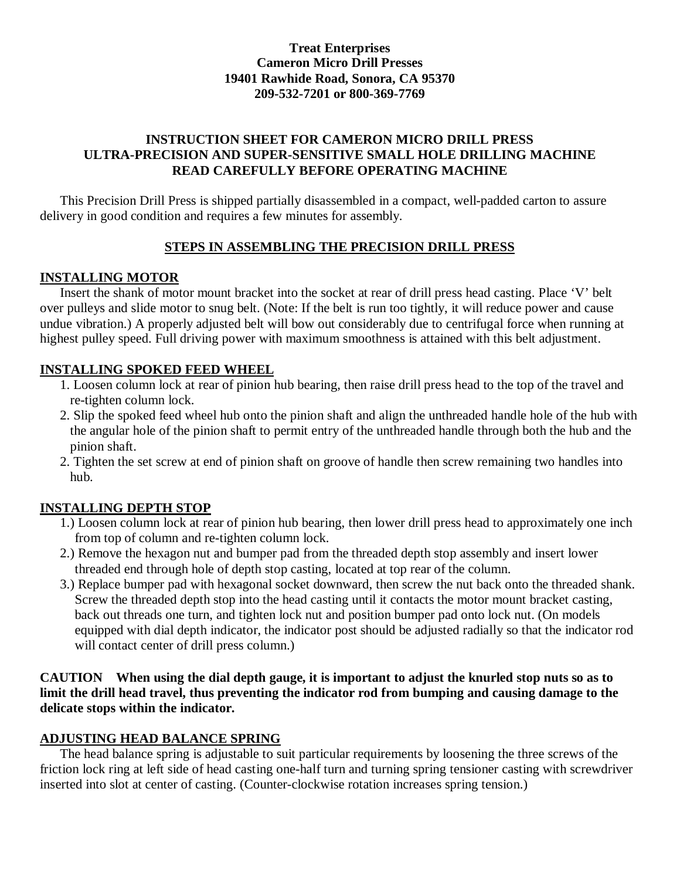## **Treat Enterprises Cameron Micro Drill Presses 19401 Rawhide Road, Sonora, CA 95370 209-532-7201 or 800-369-7769**

## **INSTRUCTION SHEET FOR CAMERON MICRO DRILL PRESS ULTRA-PRECISION AND SUPER-SENSITIVE SMALL HOLE DRILLING MACHINE READ CAREFULLY BEFORE OPERATING MACHINE**

 This Precision Drill Press is shipped partially disassembled in a compact, well-padded carton to assure delivery in good condition and requires a few minutes for assembly.

## **STEPS IN ASSEMBLING THE PRECISION DRILL PRESS**

## **INSTALLING MOTOR**

 Insert the shank of motor mount bracket into the socket at rear of drill press head casting. Place 'V' belt over pulleys and slide motor to snug belt. (Note: If the belt is run too tightly, it will reduce power and cause undue vibration.) A properly adjusted belt will bow out considerably due to centrifugal force when running at highest pulley speed. Full driving power with maximum smoothness is attained with this belt adjustment.

## **INSTALLING SPOKED FEED WHEEL**

- 1. Loosen column lock at rear of pinion hub bearing, then raise drill press head to the top of the travel and re-tighten column lock.
- 2. Slip the spoked feed wheel hub onto the pinion shaft and align the unthreaded handle hole of the hub with the angular hole of the pinion shaft to permit entry of the unthreaded handle through both the hub and the pinion shaft.
- 2. Tighten the set screw at end of pinion shaft on groove of handle then screw remaining two handles into hub.

# **INSTALLING DEPTH STOP**

- 1.) Loosen column lock at rear of pinion hub bearing, then lower drill press head to approximately one inch from top of column and re-tighten column lock.
- 2.) Remove the hexagon nut and bumper pad from the threaded depth stop assembly and insert lower threaded end through hole of depth stop casting, located at top rear of the column.
- 3.) Replace bumper pad with hexagonal socket downward, then screw the nut back onto the threaded shank. Screw the threaded depth stop into the head casting until it contacts the motor mount bracket casting, back out threads one turn, and tighten lock nut and position bumper pad onto lock nut. (On models equipped with dial depth indicator, the indicator post should be adjusted radially so that the indicator rod will contact center of drill press column.)

### **CAUTIONWhen using the dial depth gauge, it is important to adjust the knurled stop nuts so as to limit the drill head travel, thus preventing the indicator rod from bumping and causing damage to the delicate stops within the indicator.**

## **ADJUSTING HEAD BALANCE SPRING**

 The head balance spring is adjustable to suit particular requirements by loosening the three screws of the friction lock ring at left side of head casting one-half turn and turning spring tensioner casting with screwdriver inserted into slot at center of casting. (Counter-clockwise rotation increases spring tension.)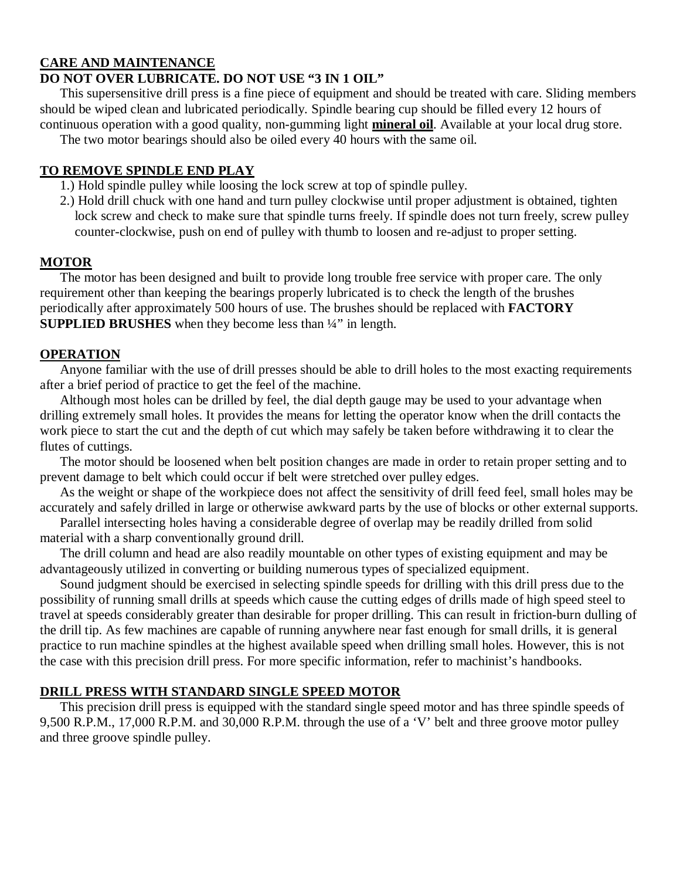## **CARE AND MAINTENANCE**

### **DO NOT OVER LUBRICATE. DO NOT USE "3 IN 1 OIL"**

 This supersensitive drill press is a fine piece of equipment and should be treated with care. Sliding members should be wiped clean and lubricated periodically. Spindle bearing cup should be filled every 12 hours of continuous operation with a good quality, non-gumming light **mineral oil**. Available at your local drug store.

The two motor bearings should also be oiled every 40 hours with the same oil.

#### **TO REMOVE SPINDLE END PLAY**

- 1.) Hold spindle pulley while loosing the lock screw at top of spindle pulley.
- 2.) Hold drill chuck with one hand and turn pulley clockwise until proper adjustment is obtained, tighten lock screw and check to make sure that spindle turns freely. If spindle does not turn freely, screw pulley counter-clockwise, push on end of pulley with thumb to loosen and re-adjust to proper setting.

#### **MOTOR**

 The motor has been designed and built to provide long trouble free service with proper care. The only requirement other than keeping the bearings properly lubricated is to check the length of the brushes periodically after approximately 500 hours of use. The brushes should be replaced with **FACTORY SUPPLIED BRUSHES** when they become less than ¼" in length.

#### **OPERATION**

 Anyone familiar with the use of drill presses should be able to drill holes to the most exacting requirements after a brief period of practice to get the feel of the machine.

 Although most holes can be drilled by feel, the dial depth gauge may be used to your advantage when drilling extremely small holes. It provides the means for letting the operator know when the drill contacts the work piece to start the cut and the depth of cut which may safely be taken before withdrawing it to clear the flutes of cuttings.

 The motor should be loosened when belt position changes are made in order to retain proper setting and to prevent damage to belt which could occur if belt were stretched over pulley edges.

 As the weight or shape of the workpiece does not affect the sensitivity of drill feed feel, small holes may be accurately and safely drilled in large or otherwise awkward parts by the use of blocks or other external supports.

 Parallel intersecting holes having a considerable degree of overlap may be readily drilled from solid material with a sharp conventionally ground drill.

 The drill column and head are also readily mountable on other types of existing equipment and may be advantageously utilized in converting or building numerous types of specialized equipment.

 Sound judgment should be exercised in selecting spindle speeds for drilling with this drill press due to the possibility of running small drills at speeds which cause the cutting edges of drills made of high speed steel to travel at speeds considerably greater than desirable for proper drilling. This can result in friction-burn dulling of the drill tip. As few machines are capable of running anywhere near fast enough for small drills, it is general practice to run machine spindles at the highest available speed when drilling small holes. However, this is not the case with this precision drill press. For more specific information, refer to machinist's handbooks.

## **DRILL PRESS WITH STANDARD SINGLE SPEED MOTOR**

 This precision drill press is equipped with the standard single speed motor and has three spindle speeds of 9,500 R.P.M., 17,000 R.P.M. and 30,000 R.P.M. through the use of a 'V' belt and three groove motor pulley and three groove spindle pulley.